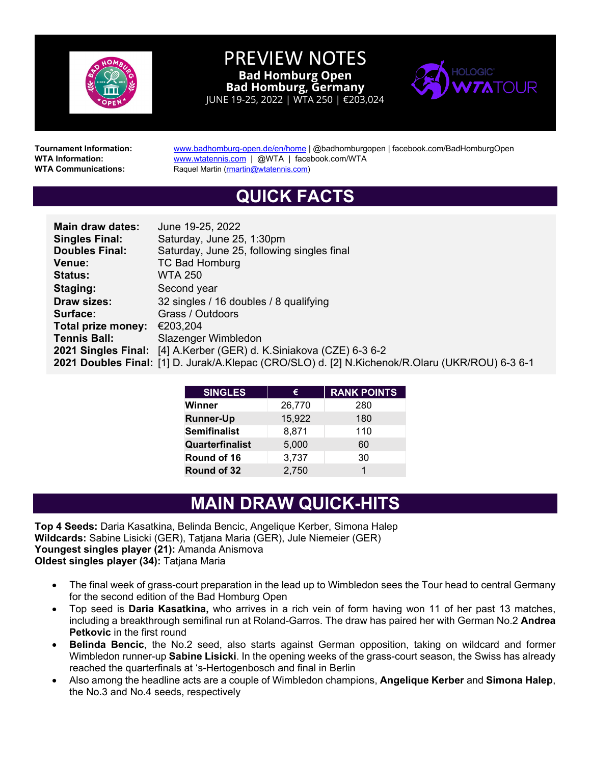

PREVIEW NOTES **Bad Homburg Open Bad Homburg, Germany** JUNE 19-25, 2022 | WTA 250 | €203,024



**Tournament Information:** [www.badhomburg-open.de/en/home](http://www.badhomburg-open.de/en/home) | @badhomburgopen | facebook.com/BadHomburgOpen | WITA<br>WITA Information: www.wtatennis.com | @WTA | facebook.com/WTA **WTA Information: [www.wtatennis.com](http://www.wtatennis.com/) | @WTA | facebook.com/WTA**<br>**WTA Communications:** Raquel Martin (martin@wtatennis.com) **Raquel Martin [\(rmartin@wtatennis.com\)](mailto:rmartin@wtatennis.com)** 

## **QUICK FACTS**

| Main draw dates:                      | June 19-25, 2022                                                                                |  |  |  |
|---------------------------------------|-------------------------------------------------------------------------------------------------|--|--|--|
| <b>Singles Final:</b>                 | Saturday, June 25, 1:30pm                                                                       |  |  |  |
| <b>Doubles Final:</b>                 | Saturday, June 25, following singles final                                                      |  |  |  |
| Venue:                                | <b>TC Bad Homburg</b>                                                                           |  |  |  |
| <b>Status:</b>                        | <b>WTA 250</b>                                                                                  |  |  |  |
| Staging:                              | Second year                                                                                     |  |  |  |
| <b>Draw sizes:</b>                    | 32 singles / 16 doubles / 8 qualifying                                                          |  |  |  |
| Surface:                              | Grass / Outdoors                                                                                |  |  |  |
| Total prize money: $\epsilon$ 203,204 |                                                                                                 |  |  |  |
| <b>Tennis Ball:</b>                   | Slazenger Wimbledon                                                                             |  |  |  |
|                                       | 2021 Singles Final: [4] A.Kerber (GER) d. K.Siniakova (CZE) 6-3 6-2                             |  |  |  |
|                                       | 2021 Doubles Final: [1] D. Jurak/A.Klepac (CRO/SLO) d. [2] N.Kichenok/R.Olaru (UKR/ROU) 6-3 6-1 |  |  |  |

| €      | <b>RANK POINTS</b> |
|--------|--------------------|
| 26,770 | 280                |
| 15,922 | 180                |
| 8,871  | 110                |
| 5,000  | 60                 |
| 3,737  | 30                 |
| 2,750  |                    |
|        |                    |

## **MAIN DRAW QUICK-HITS**

**Top 4 Seeds:** Daria Kasatkina, Belinda Bencic, Angelique Kerber, Simona Halep **Wildcards:** Sabine Lisicki (GER), Tatjana Maria (GER), Jule Niemeier (GER) **Youngest singles player (21):** Amanda Anismova **Oldest singles player (34):** Tatjana Maria

- The final week of grass-court preparation in the lead up to Wimbledon sees the Tour head to central Germany for the second edition of the Bad Homburg Open
- Top seed is **Daria Kasatkina,** who arrives in a rich vein of form having won 11 of her past 13 matches, including a breakthrough semifinal run at Roland-Garros. The draw has paired her with German No.2 **Andrea Petkovic** in the first round
- **Belinda Bencic**, the No.2 seed, also starts against German opposition, taking on wildcard and former Wimbledon runner-up **Sabine Lisicki**. In the opening weeks of the grass-court season, the Swiss has already reached the quarterfinals at 's-Hertogenbosch and final in Berlin
- Also among the headline acts are a couple of Wimbledon champions, **Angelique Kerber** and **Simona Halep**, the No.3 and No.4 seeds, respectively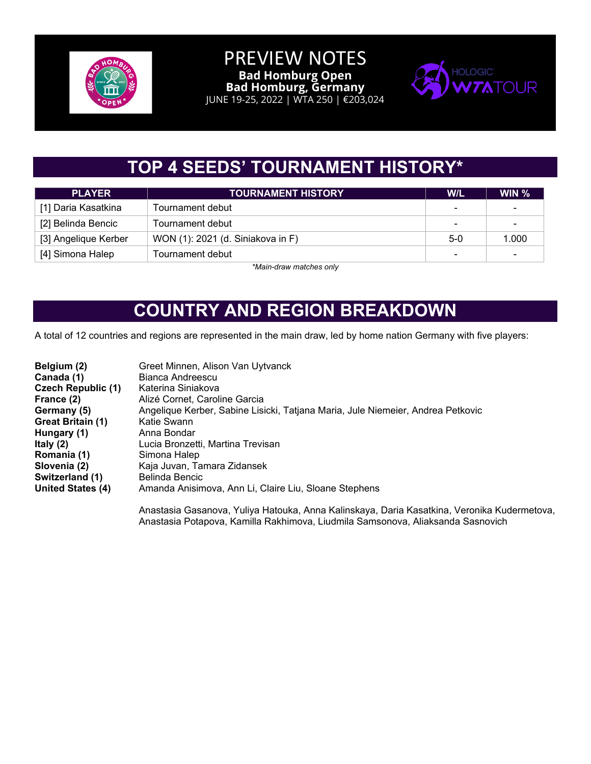

#### PREVIEW NOTES **Bad Homburg Open Bad Homburg, Germany**

JUNE 19-25, 2022 | WTA 250 | €203,024



# **TOP 4 SEEDS' TOURNAMENT HISTORY\***

| <b>PLAYER</b>        | <b>TOURNAMENT HISTORY</b>         | <b>W/L</b>               | WIN $%$        |
|----------------------|-----------------------------------|--------------------------|----------------|
| [1] Daria Kasatkina  | Tournament debut                  | $\blacksquare$           | $\blacksquare$ |
| [2] Belinda Bencic   | Tournament debut                  | $\overline{\phantom{0}}$ | $\sim$         |
| [3] Angelique Kerber | WON (1): 2021 (d. Siniakova in F) | $5-0$                    | 1.000          |
| [4] Simona Halep     | $\overline{\phantom{0}}$          | $\sim$                   |                |

*\*Main-draw matches only*

## **COUNTRY AND REGION BREAKDOWN**

A total of 12 countries and regions are represented in the main draw, led by home nation Germany with five players:

| Belgium (2)<br>Canada (1)<br><b>Czech Republic (1)</b> | Greet Minnen, Alison Van Uytvanck<br>Bianca Andreescu<br>Katerina Siniakova     |
|--------------------------------------------------------|---------------------------------------------------------------------------------|
| France (2)                                             | Alizé Cornet, Caroline Garcia                                                   |
| Germany (5)                                            | Angelique Kerber, Sabine Lisicki, Tatjana Maria, Jule Niemeier, Andrea Petkovic |
| Great Britain (1)                                      | Katie Swann                                                                     |
| Hungary (1)                                            | Anna Bondar                                                                     |
| Italy $(2)$                                            | Lucia Bronzetti, Martina Trevisan                                               |
| Romania (1)                                            | Simona Halep                                                                    |
| Slovenia (2)                                           | Kaja Juvan, Tamara Zidansek                                                     |
| Switzerland (1)                                        | Belinda Bencic                                                                  |
| <b>United States (4)</b>                               | Amanda Anisimova, Ann Li, Claire Liu, Sloane Stephens                           |
|                                                        |                                                                                 |

Anastasia Gasanova, Yuliya Hatouka, Anna Kalinskaya, Daria Kasatkina, Veronika Kudermetova, Anastasia Potapova, Kamilla Rakhimova, Liudmila Samsonova, Aliaksanda Sasnovich